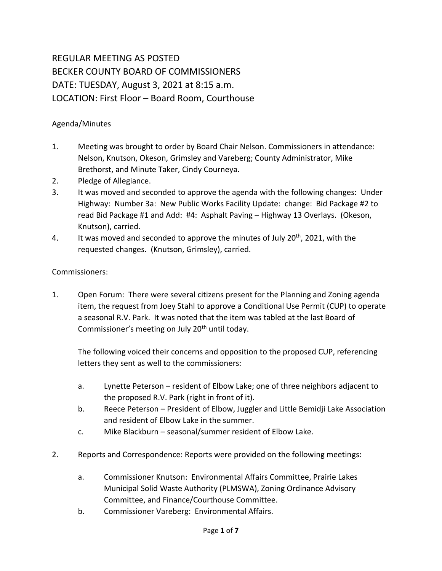## REGULAR MEETING AS POSTED BECKER COUNTY BOARD OF COMMISSIONERS DATE: TUESDAY, August 3, 2021 at 8:15 a.m. LOCATION: First Floor – Board Room, Courthouse

## Agenda/Minutes

- 1. Meeting was brought to order by Board Chair Nelson. Commissioners in attendance: Nelson, Knutson, Okeson, Grimsley and Vareberg; County Administrator, Mike Brethorst, and Minute Taker, Cindy Courneya.
- 2. Pledge of Allegiance.
- 3. It was moved and seconded to approve the agenda with the following changes: Under Highway: Number 3a: New Public Works Facility Update: change: Bid Package #2 to read Bid Package #1 and Add: #4: Asphalt Paving – Highway 13 Overlays. (Okeson, Knutson), carried.
- 4. It was moved and seconded to approve the minutes of July 20<sup>th</sup>, 2021, with the requested changes. (Knutson, Grimsley), carried.

## Commissioners:

1. Open Forum: There were several citizens present for the Planning and Zoning agenda item, the request from Joey Stahl to approve a Conditional Use Permit (CUP) to operate a seasonal R.V. Park. It was noted that the item was tabled at the last Board of Commissioner's meeting on July 20<sup>th</sup> until today.

The following voiced their concerns and opposition to the proposed CUP, referencing letters they sent as well to the commissioners:

- a. Lynette Peterson resident of Elbow Lake; one of three neighbors adjacent to the proposed R.V. Park (right in front of it).
- b. Reece Peterson President of Elbow, Juggler and Little Bemidji Lake Association and resident of Elbow Lake in the summer.
- c. Mike Blackburn seasonal/summer resident of Elbow Lake.
- 2. Reports and Correspondence: Reports were provided on the following meetings:
	- a. Commissioner Knutson: Environmental Affairs Committee, Prairie Lakes Municipal Solid Waste Authority (PLMSWA), Zoning Ordinance Advisory Committee, and Finance/Courthouse Committee.
	- b. Commissioner Vareberg: Environmental Affairs.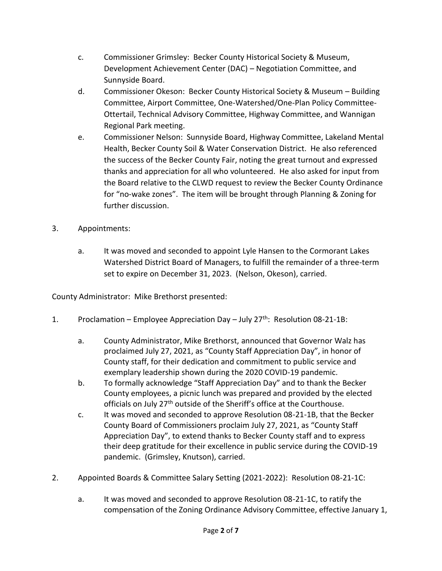- c. Commissioner Grimsley: Becker County Historical Society & Museum, Development Achievement Center (DAC) – Negotiation Committee, and Sunnyside Board.
- d. Commissioner Okeson: Becker County Historical Society & Museum Building Committee, Airport Committee, One-Watershed/One-Plan Policy Committee-Ottertail, Technical Advisory Committee, Highway Committee, and Wannigan Regional Park meeting.
- e. Commissioner Nelson: Sunnyside Board, Highway Committee, Lakeland Mental Health, Becker County Soil & Water Conservation District. He also referenced the success of the Becker County Fair, noting the great turnout and expressed thanks and appreciation for all who volunteered. He also asked for input from the Board relative to the CLWD request to review the Becker County Ordinance for "no-wake zones". The item will be brought through Planning & Zoning for further discussion.
- 3. Appointments:
	- a. It was moved and seconded to appoint Lyle Hansen to the Cormorant Lakes Watershed District Board of Managers, to fulfill the remainder of a three-term set to expire on December 31, 2023. (Nelson, Okeson), carried.

County Administrator: Mike Brethorst presented:

- 1. Proclamation Employee Appreciation Day July  $27^{th}$ : Resolution 08-21-1B:
	- a. County Administrator, Mike Brethorst, announced that Governor Walz has proclaimed July 27, 2021, as "County Staff Appreciation Day", in honor of County staff, for their dedication and commitment to public service and exemplary leadership shown during the 2020 COVID-19 pandemic.
	- b. To formally acknowledge "Staff Appreciation Day" and to thank the Becker County employees, a picnic lunch was prepared and provided by the elected officials on July 27<sup>th</sup> outside of the Sheriff's office at the Courthouse.
	- c. It was moved and seconded to approve Resolution 08-21-1B, that the Becker County Board of Commissioners proclaim July 27, 2021, as "County Staff Appreciation Day", to extend thanks to Becker County staff and to express their deep gratitude for their excellence in public service during the COVID-19 pandemic. (Grimsley, Knutson), carried.
- 2. Appointed Boards & Committee Salary Setting (2021-2022): Resolution 08-21-1C:
	- a. It was moved and seconded to approve Resolution 08-21-1C, to ratify the compensation of the Zoning Ordinance Advisory Committee, effective January 1,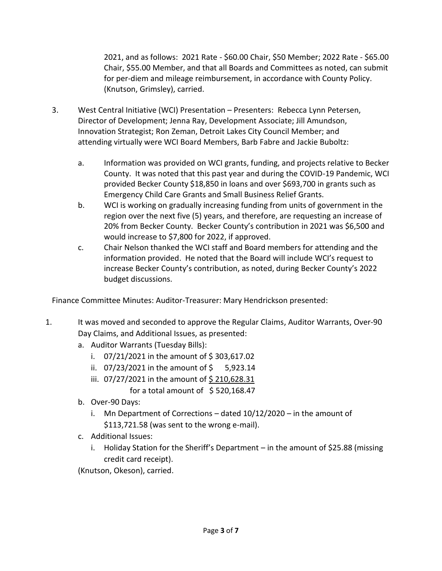2021, and as follows: 2021 Rate - \$60.00 Chair, \$50 Member; 2022 Rate - \$65.00 Chair, \$55.00 Member, and that all Boards and Committees as noted, can submit for per-diem and mileage reimbursement, in accordance with County Policy. (Knutson, Grimsley), carried.

- 3. West Central Initiative (WCI) Presentation Presenters: Rebecca Lynn Petersen, Director of Development; Jenna Ray, Development Associate; Jill Amundson, Innovation Strategist; Ron Zeman, Detroit Lakes City Council Member; and attending virtually were WCI Board Members, Barb Fabre and Jackie Buboltz:
	- a. Information was provided on WCI grants, funding, and projects relative to Becker County. It was noted that this past year and during the COVID-19 Pandemic, WCI provided Becker County \$18,850 in loans and over \$693,700 in grants such as Emergency Child Care Grants and Small Business Relief Grants.
	- b. WCI is working on gradually increasing funding from units of government in the region over the next five (5) years, and therefore, are requesting an increase of 20% from Becker County. Becker County's contribution in 2021 was \$6,500 and would increase to \$7,800 for 2022, if approved.
	- c. Chair Nelson thanked the WCI staff and Board members for attending and the information provided. He noted that the Board will include WCI's request to increase Becker County's contribution, as noted, during Becker County's 2022 budget discussions.

Finance Committee Minutes: Auditor-Treasurer: Mary Hendrickson presented:

- 1. It was moved and seconded to approve the Regular Claims, Auditor Warrants, Over-90 Day Claims, and Additional Issues, as presented:
	- a. Auditor Warrants (Tuesday Bills):
		- i.  $07/21/2021$  in the amount of \$303,617.02
		- ii.  $07/23/2021$  in the amount of  $\frac{1}{2}$  5,923.14
		- iii. 07/27/2021 in the amount of \$210,628.31
			- for a total amount of  $\;$  \$ 520,168.47
	- b. Over-90 Days:
		- i. Mn Department of Corrections dated 10/12/2020 in the amount of \$113,721.58 (was sent to the wrong e-mail).
	- c. Additional Issues:
		- i. Holiday Station for the Sheriff's Department in the amount of \$25.88 (missing credit card receipt).

(Knutson, Okeson), carried.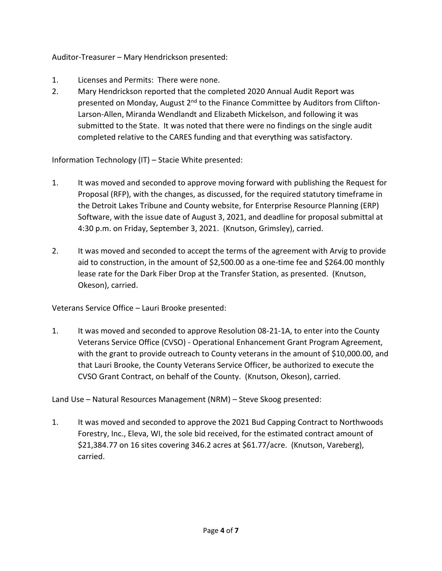Auditor-Treasurer – Mary Hendrickson presented:

- 1. Licenses and Permits: There were none.
- 2. Mary Hendrickson reported that the completed 2020 Annual Audit Report was presented on Monday, August 2<sup>nd</sup> to the Finance Committee by Auditors from Clifton-Larson-Allen, Miranda Wendlandt and Elizabeth Mickelson, and following it was submitted to the State. It was noted that there were no findings on the single audit completed relative to the CARES funding and that everything was satisfactory.

Information Technology (IT) – Stacie White presented:

- 1. It was moved and seconded to approve moving forward with publishing the Request for Proposal (RFP), with the changes, as discussed, for the required statutory timeframe in the Detroit Lakes Tribune and County website, for Enterprise Resource Planning (ERP) Software, with the issue date of August 3, 2021, and deadline for proposal submittal at 4:30 p.m. on Friday, September 3, 2021. (Knutson, Grimsley), carried.
- 2. It was moved and seconded to accept the terms of the agreement with Arvig to provide aid to construction, in the amount of \$2,500.00 as a one-time fee and \$264.00 monthly lease rate for the Dark Fiber Drop at the Transfer Station, as presented. (Knutson, Okeson), carried.

Veterans Service Office – Lauri Brooke presented:

1. It was moved and seconded to approve Resolution 08-21-1A, to enter into the County Veterans Service Office (CVSO) - Operational Enhancement Grant Program Agreement, with the grant to provide outreach to County veterans in the amount of \$10,000.00, and that Lauri Brooke, the County Veterans Service Officer, be authorized to execute the CVSO Grant Contract, on behalf of the County. (Knutson, Okeson), carried.

Land Use – Natural Resources Management (NRM) – Steve Skoog presented:

1. It was moved and seconded to approve the 2021 Bud Capping Contract to Northwoods Forestry, Inc., Eleva, WI, the sole bid received, for the estimated contract amount of \$21,384.77 on 16 sites covering 346.2 acres at \$61.77/acre. (Knutson, Vareberg), carried.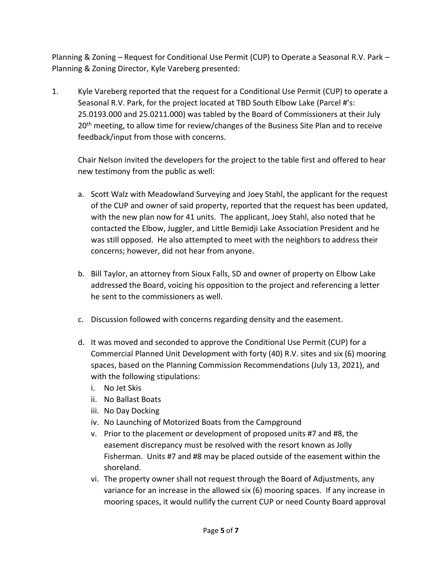Planning & Zoning – Request for Conditional Use Permit (CUP) to Operate a Seasonal R.V. Park – Planning & Zoning Director, Kyle Vareberg presented:

1. Kyle Vareberg reported that the request for a Conditional Use Permit (CUP) to operate a Seasonal R.V. Park, for the project located at TBD South Elbow Lake (Parcel #'s: 25.0193.000 and 25.0211.000) was tabled by the Board of Commissioners at their July 20<sup>th</sup> meeting, to allow time for review/changes of the Business Site Plan and to receive feedback/input from those with concerns.

Chair Nelson invited the developers for the project to the table first and offered to hear new testimony from the public as well:

- a. Scott Walz with Meadowland Surveying and Joey Stahl, the applicant for the request of the CUP and owner of said property, reported that the request has been updated, with the new plan now for 41 units. The applicant, Joey Stahl, also noted that he contacted the Elbow, Juggler, and Little Bemidji Lake Association President and he was still opposed. He also attempted to meet with the neighbors to address their concerns; however, did not hear from anyone.
- b. Bill Taylor, an attorney from Sioux Falls, SD and owner of property on Elbow Lake addressed the Board, voicing his opposition to the project and referencing a letter he sent to the commissioners as well.
- c. Discussion followed with concerns regarding density and the easement.
- d. It was moved and seconded to approve the Conditional Use Permit (CUP) for a Commercial Planned Unit Development with forty (40) R.V. sites and six (6) mooring spaces, based on the Planning Commission Recommendations (July 13, 2021), and with the following stipulations:
	- i. No Jet Skis
	- ii. No Ballast Boats
	- iii. No Day Docking
	- iv. No Launching of Motorized Boats from the Campground
	- v. Prior to the placement or development of proposed units #7 and #8, the easement discrepancy must be resolved with the resort known as Jolly Fisherman. Units #7 and #8 may be placed outside of the easement within the shoreland.
	- vi. The property owner shall not request through the Board of Adjustments, any variance for an increase in the allowed six (6) mooring spaces. If any increase in mooring spaces, it would nullify the current CUP or need County Board approval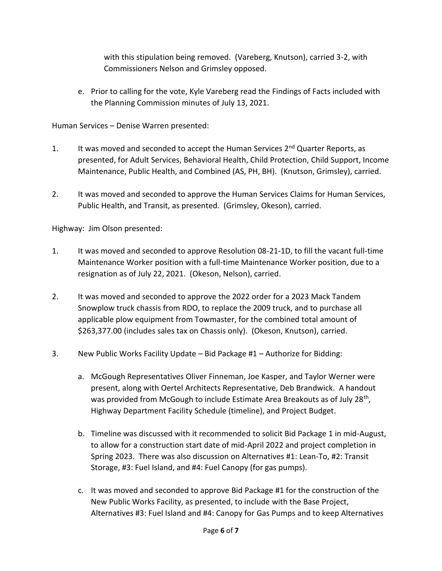with this stipulation being removed. (Vareberg, Knutson), carried 3-2, with Commissioners Nelson and Grimsley opposed.

e. Prior to calling for the vote, Kyle Vareberg read the Findings of Facts included with the Planning Commission minutes of July 13, 2021.

Human Services – Denise Warren presented:

- 1. It was moved and seconded to accept the Human Services  $2^{nd}$  Quarter Reports, as presented, for Adult Services, Behavioral Health, Child Protection, Child Support, Income Maintenance, Public Health, and Combined (AS, PH, BH). (Knutson, Grimsley), carried.
- 2. It was moved and seconded to approve the Human Services Claims for Human Services, Public Health, and Transit, as presented. (Grimsley, Okeson), carried.

Highway: Jim Olson presented:

- 1. It was moved and seconded to approve Resolution 08-21-1D, to fill the vacant full-time Maintenance Worker position with a full-time Maintenance Worker position, due to a resignation as of July 22, 2021. (Okeson, Nelson), carried.
- 2. It was moved and seconded to approve the 2022 order for a 2023 Mack Tandem Snowplow truck chassis from RDO, to replace the 2009 truck, and to purchase all applicable plow equipment from Towmaster, for the combined total amount of \$263,377.00 (includes sales tax on Chassis only). (Okeson, Knutson), carried.
- 3. New Public Works Facility Update Bid Package #1 Authorize for Bidding:
	- a. McGough Representatives Oliver Finneman, Joe Kasper, and Taylor Werner were present, along with Oertel Architects Representative, Deb Brandwick. A handout was provided from McGough to include Estimate Area Breakouts as of July 28<sup>th</sup>, Highway Department Facility Schedule (timeline), and Project Budget.
	- b. Timeline was discussed with it recommended to solicit Bid Package 1 in mid-August, to allow for a construction start date of mid-April 2022 and project completion in Spring 2023. There was also discussion on Alternatives #1: Lean-To, #2: Transit Storage, #3: Fuel Island, and #4: Fuel Canopy (for gas pumps).
	- c. It was moved and seconded to approve Bid Package #1 for the construction of the New Public Works Facility, as presented, to include with the Base Project, Alternatives #3: Fuel Island and #4: Canopy for Gas Pumps and to keep Alternatives